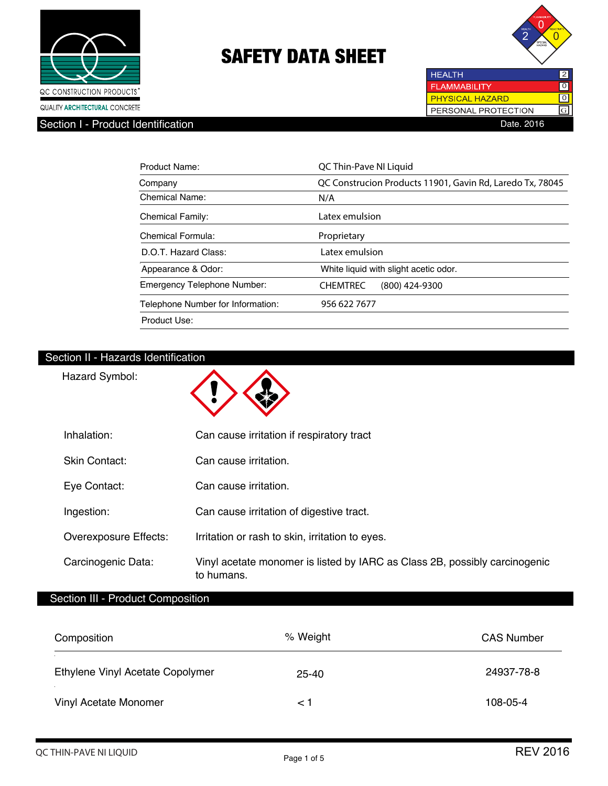



# Section I - Product Identification

| <b>HEALTH</b>          |  |
|------------------------|--|
| <b>FLAMMABILITY</b>    |  |
| <b>PHYSICAL HAZARD</b> |  |
| PERSONAL PROTECTION    |  |
| Date. 20 <sup>-</sup>  |  |

| Product Name:                     | QC Thin-Pave NI Liquid                                    |
|-----------------------------------|-----------------------------------------------------------|
| Company                           | QC Construcion Products 11901, Gavin Rd, Laredo Tx, 78045 |
| Chemical Name:                    | N/A                                                       |
| <b>Chemical Family:</b>           | Latex emulsion                                            |
| Chemical Formula:                 | Proprietary                                               |
| D.O.T. Hazard Class:              | Latex emulsion                                            |
| Appearance & Odor:                | White liquid with slight acetic odor.                     |
| Emergency Telephone Number:       | <b>CHEMTREC</b><br>(800) 424-9300                         |
| Telephone Number for Information: | 956 622 7677                                              |
| Product Use:                      |                                                           |

# Section II - Hazards Identification

Hazard Symbol:

| Inhalation:           | Can cause irritation if respiratory tract                                                |
|-----------------------|------------------------------------------------------------------------------------------|
| Skin Contact:         | Can cause irritation.                                                                    |
| Eye Contact:          | Can cause irritation.                                                                    |
| Ingestion:            | Can cause irritation of digestive tract.                                                 |
| Overexposure Effects: | Irritation or rash to skin, irritation to eyes.                                          |
| Carcinogenic Data:    | Vinyl acetate monomer is listed by IARC as Class 2B, possibly carcinogenic<br>to humans. |

# Section III - Product Composition

| Composition                      | % Weight  | <b>CAS Number</b> |
|----------------------------------|-----------|-------------------|
| Ethylene Vinyl Acetate Copolymer | $25 - 40$ | 24937-78-8        |
| Vinyl Acetate Monomer            | ⊂ 1       | 108-05-4          |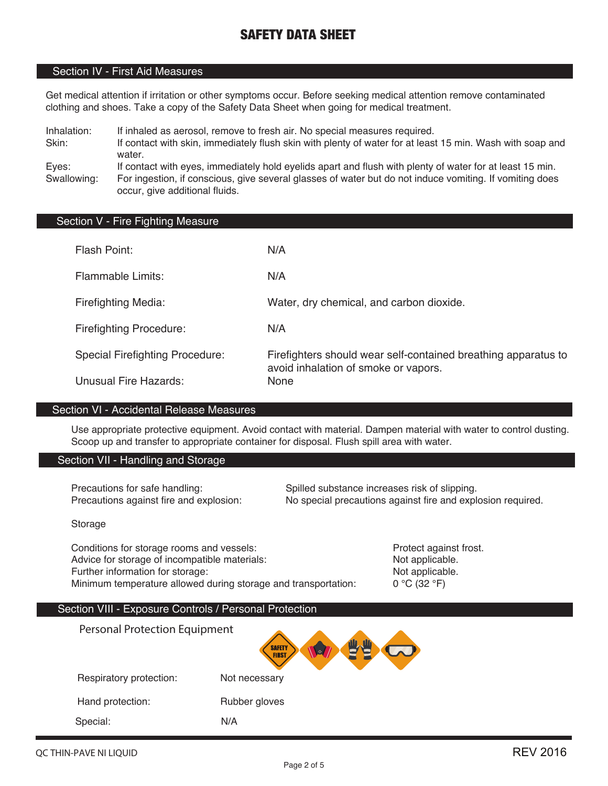# Section IV - First Aid Measures

Get medical attention if irritation or other symptoms occur. Before seeking medical attention remove contaminated clothing and shoes. Take a copy of the Safety Data Sheet when going for medical treatment.

Inhalation: If inhaled as aerosol, remove to fresh air. No special measures required.

Skin: If contact with skin, immediately flush skin with plenty of water for at least 15 min. Wash with soap and water.

Eyes: If contact with eyes, immediately hold eyelids apart and flush with plenty of water for at least 15 min. Swallowing: For ingestion, if conscious, give several glasses of water but do not induce vomiting. If vomiting does occur, give additional fluids.

### Section V - Fire Fighting Measure

| Flash Point:                           | N/A                                                                                                    |
|----------------------------------------|--------------------------------------------------------------------------------------------------------|
| <b>Flammable Limits:</b>               | N/A                                                                                                    |
| <b>Firefighting Media:</b>             | Water, dry chemical, and carbon dioxide.                                                               |
| <b>Firefighting Procedure:</b>         | N/A                                                                                                    |
| <b>Special Firefighting Procedure:</b> | Firefighters should wear self-contained breathing apparatus to<br>avoid inhalation of smoke or vapors. |
| <b>Unusual Fire Hazards:</b>           | <b>None</b>                                                                                            |

#### Section VI - Accidental Release Measures

Use appropriate protective equipment. Avoid contact with material. Dampen material with water to control dusting. Scoop up and transfer to appropriate container for disposal. Flush spill area with water.

#### Section VII - Handling and Storage

Precautions for safe handling: Spilled substance increases risk of slipping. Precautions against fire and explosion: No special precautions against fire and explosion required.

#### Storage

Conditions for storage rooms and vessels: **Protect against frost.** Protect against frost. Advice for storage of incompatible materials: Not applicable. Further information for storage: Not applicable. Minimum temperature allowed during storage and transportation:  $0 °C (32 °F)$ 

# Section VIII - Exposure Controls / Personal Protection

Personal Protection Equipment**SAFETY** Respiratory protection: Not necessary Hand protection: Rubber gloves Special: N/A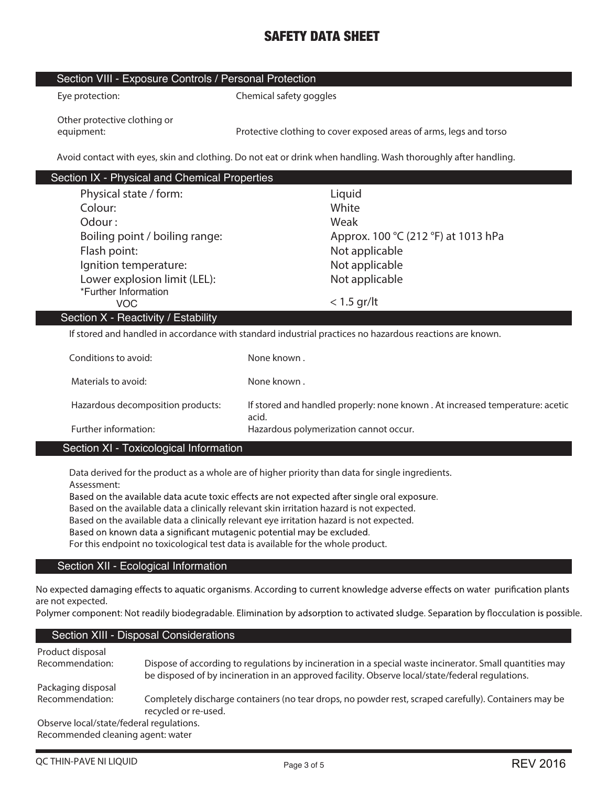### Section VIII - Exposure Controls / Personal Protection

| Eye protection: |
|-----------------|
|                 |

**Chemical safety goggles** 

**Other protective clothing or** 

**equipment: Protective clothing to cover exposed areas of arms, legs and torso**

**Avoid contact with eyes, skin and clothing. Do not eat or drink when handling. Wash thoroughly after handling.**

| Section IX - Physical and Chemical Properties |                                     |
|-----------------------------------------------|-------------------------------------|
| Physical state / form:                        | Liquid                              |
| Colour:                                       | White                               |
| Odour:                                        | Weak                                |
| Boiling point / boiling range:                | Approx. 100 °C (212 °F) at 1013 hPa |
| Flash point:                                  | Not applicable                      |
| Ignition temperature:                         | Not applicable                      |
| Lower explosion limit (LEL):                  | Not applicable                      |
| *Further Information                          |                                     |
| <b>VOC</b>                                    | $<$ 1.5 gr/lt                       |
| Section X - Reactivity / Estability           |                                     |
|                                               |                                     |

**If stored and handled in accordance with standard industrial practices no hazardous reactions are known.**

| Conditions to avoid:              | None known.                                                                            |
|-----------------------------------|----------------------------------------------------------------------------------------|
| Materials to avoid:               | None known.                                                                            |
| Hazardous decomposition products: | If stored and handled properly: none known . At increased temperature: acetic<br>acid. |
| Further information:              | Hazardous polymerization cannot occur.                                                 |

# Section XI - Toxicological Information

**Data derived for the product as a whole are of higher priority than data for single ingredients. Assessment:** 

Based on the available data acute toxic effects are not expected after single oral exposure.

**Based on the available data a clinically relevant skin irritation hazard is not expected.**

**Based on the available data a clinically relevant eye irritation hazard is not expected.**

Based on known data a significant mutagenic potential may be excluded.

**For this endpoint no toxicological test data is available for the whole product.**

# Section XII - Ecological Information

No expected damaging effects to aquatic organisms. According to current knowledge adverse effects on water purification plants **are not expected.**

Polymer component: Not readily biodegradable. Elimination by adsorption to activated sludge. Separation by flocculation is possible.

# Section XIII - Disposal Considerations

| Product disposal<br>Recommendation:      | Dispose of according to regulations by incineration in a special waste incinerator. Small quantities may<br>be disposed of by incineration in an approved facility. Observe local/state/federal regulations. |
|------------------------------------------|--------------------------------------------------------------------------------------------------------------------------------------------------------------------------------------------------------------|
| Packaging disposal                       |                                                                                                                                                                                                              |
| Recommendation:                          | Completely discharge containers (no tear drops, no powder rest, scraped carefully). Containers may be<br>recycled or re-used.                                                                                |
| Observe local/state/federal regulations. |                                                                                                                                                                                                              |
| Recommended cleaning agent: water        |                                                                                                                                                                                                              |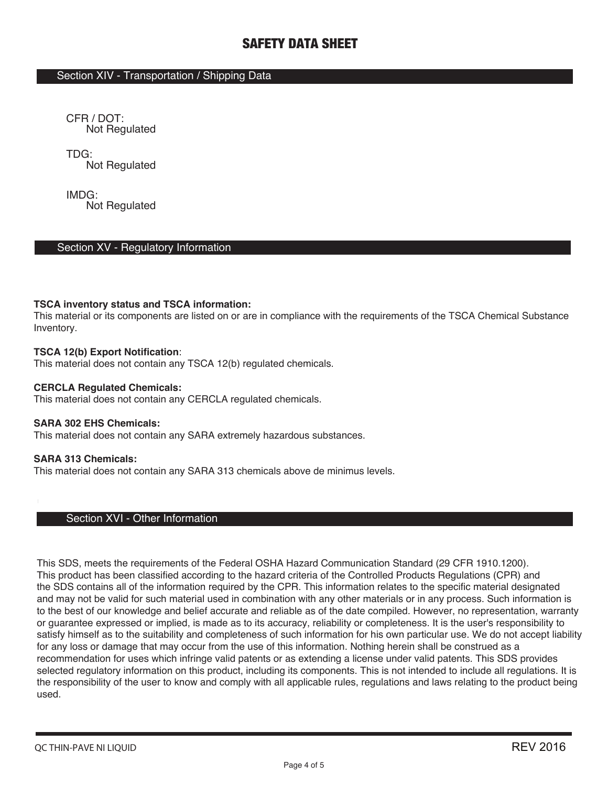# Section XIV - Transportation / Shipping Data

CFR / DOT: Not Regulated

TDG: Not Regulated

IMDG: Not Regulated

# Section XV - Regulatory Information

### **TSCA inventory status and TSCA information:**

This material or its components are listed on or are in compliance with the requirements of the TSCA Chemical Substance Inventory.

### **TSCA 12(b) Export Notification**:

This material does not contain any TSCA 12(b) regulated chemicals.

#### **CERCLA Regulated Chemicals:**

This material does not contain any CERCLA regulated chemicals.

#### **SARA 302 EHS Chemicals:**

This material does not contain any SARA extremely hazardous substances.

#### **SARA 313 Chemicals:**

This material does not contain any SARA 313 chemicals above de minimus levels.

# Section XVI - Other Information

This SDS, meets the requirements of the Federal OSHA Hazard Communication Standard (29 CFR 1910.1200). This product has been classified according to the hazard criteria of the Controlled Products Regulations (CPR) and the SDS contains all of the information required by the CPR. This information relates to the specific material designated and may not be valid for such material used in combination with any other materials or in any process. Such information is to the best of our knowledge and belief accurate and reliable as of the date compiled. However, no representation, warranty or guarantee expressed or implied, is made as to its accuracy, reliability or completeness. It is the user's responsibility to satisfy himself as to the suitability and completeness of such information for his own particular use. We do not accept liability for any loss or damage that may occur from the use of this information. Nothing herein shall be construed as a recommendation for uses which infringe valid patents or as extending a license under valid patents. This SDS provides selected regulatory information on this product, including its components. This is not intended to include all regulations. It is the responsibility of the user to know and comply with all applicable rules, regulations and laws relating to the product being used.